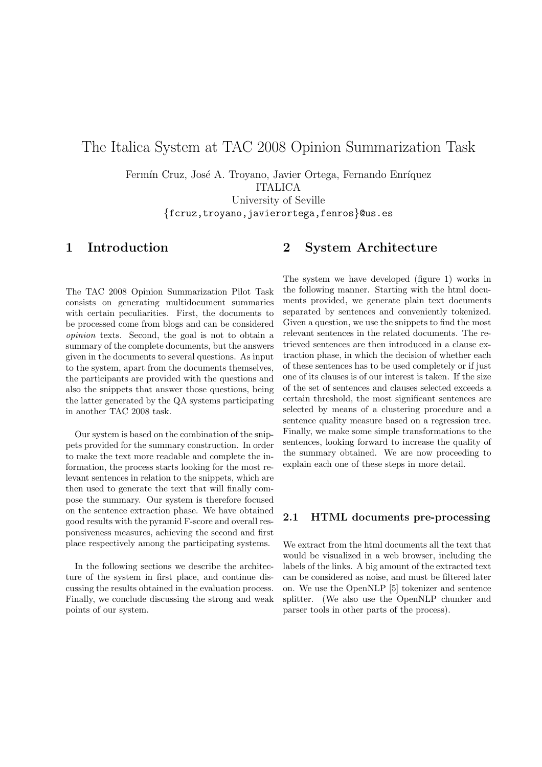# The Italica System at TAC 2008 Opinion Summarization Task

Fermín Cruz, José A. Troyano, Javier Ortega, Fernando Enríquez ITALICA University of Seville {fcruz,troyano,javierortega,fenros}@us.es

## 1 Introduction

The TAC 2008 Opinion Summarization Pilot Task consists on generating multidocument summaries with certain peculiarities. First, the documents to be processed come from blogs and can be considered opinion texts. Second, the goal is not to obtain a summary of the complete documents, but the answers given in the documents to several questions. As input to the system, apart from the documents themselves, the participants are provided with the questions and also the snippets that answer those questions, being the latter generated by the QA systems participating in another TAC 2008 task.

Our system is based on the combination of the snippets provided for the summary construction. In order to make the text more readable and complete the information, the process starts looking for the most relevant sentences in relation to the snippets, which are then used to generate the text that will finally compose the summary. Our system is therefore focused on the sentence extraction phase. We have obtained good results with the pyramid F-score and overall responsiveness measures, achieving the second and first place respectively among the participating systems.

In the following sections we describe the architecture of the system in first place, and continue discussing the results obtained in the evaluation process. Finally, we conclude discussing the strong and weak points of our system.

## 2 System Architecture

The system we have developed (figure 1) works in the following manner. Starting with the html documents provided, we generate plain text documents separated by sentences and conveniently tokenized. Given a question, we use the snippets to find the most relevant sentences in the related documents. The retrieved sentences are then introduced in a clause extraction phase, in which the decision of whether each of these sentences has to be used completely or if just one of its clauses is of our interest is taken. If the size of the set of sentences and clauses selected exceeds a certain threshold, the most significant sentences are selected by means of a clustering procedure and a sentence quality measure based on a regression tree. Finally, we make some simple transformations to the sentences, looking forward to increase the quality of the summary obtained. We are now proceeding to explain each one of these steps in more detail.

### 2.1 HTML documents pre-processing

We extract from the html documents all the text that would be visualized in a web browser, including the labels of the links. A big amount of the extracted text can be considered as noise, and must be filtered later on. We use the OpenNLP [5] tokenizer and sentence splitter. (We also use the OpenNLP chunker and parser tools in other parts of the process).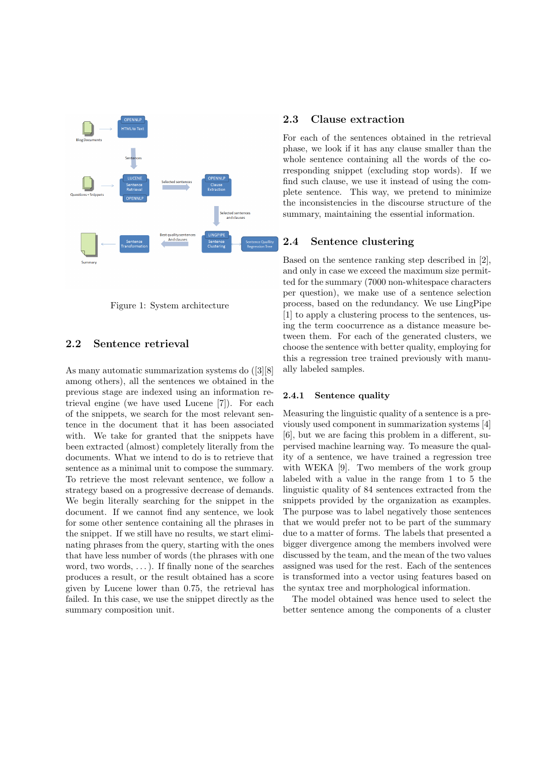

Figure 1: System architecture

### 2.2 Sentence retrieval

As many automatic summarization systems do ([3][8] among others), all the sentences we obtained in the previous stage are indexed using an information retrieval engine (we have used Lucene [7]). For each of the snippets, we search for the most relevant sentence in the document that it has been associated with. We take for granted that the snippets have been extracted (almost) completely literally from the documents. What we intend to do is to retrieve that sentence as a minimal unit to compose the summary. To retrieve the most relevant sentence, we follow a strategy based on a progressive decrease of demands. We begin literally searching for the snippet in the document. If we cannot find any sentence, we look for some other sentence containing all the phrases in the snippet. If we still have no results, we start eliminating phrases from the query, starting with the ones that have less number of words (the phrases with one word, two words,  $\dots$ ). If finally none of the searches produces a result, or the result obtained has a score given by Lucene lower than 0.75, the retrieval has failed. In this case, we use the snippet directly as the summary composition unit.

### 2.3 Clause extraction

For each of the sentences obtained in the retrieval phase, we look if it has any clause smaller than the whole sentence containing all the words of the corresponding snippet (excluding stop words). If we find such clause, we use it instead of using the complete sentence. This way, we pretend to minimize the inconsistencies in the discourse structure of the summary, maintaining the essential information.

#### 2.4 Sentence clustering

Based on the sentence ranking step described in [2], and only in case we exceed the maximum size permitted for the summary (7000 non-whitespace characters per question), we make use of a sentence selection process, based on the redundancy. We use LingPipe [1] to apply a clustering process to the sentences, using the term coocurrence as a distance measure between them. For each of the generated clusters, we choose the sentence with better quality, employing for this a regression tree trained previously with manually labeled samples.

#### 2.4.1 Sentence quality

Measuring the linguistic quality of a sentence is a previously used component in summarization systems [4] [6], but we are facing this problem in a different, supervised machine learning way. To measure the quality of a sentence, we have trained a regression tree with WEKA [9]. Two members of the work group labeled with a value in the range from 1 to 5 the linguistic quality of 84 sentences extracted from the snippets provided by the organization as examples. The purpose was to label negatively those sentences that we would prefer not to be part of the summary due to a matter of forms. The labels that presented a bigger divergence among the members involved were discussed by the team, and the mean of the two values assigned was used for the rest. Each of the sentences is transformed into a vector using features based on the syntax tree and morphological information.

The model obtained was hence used to select the better sentence among the components of a cluster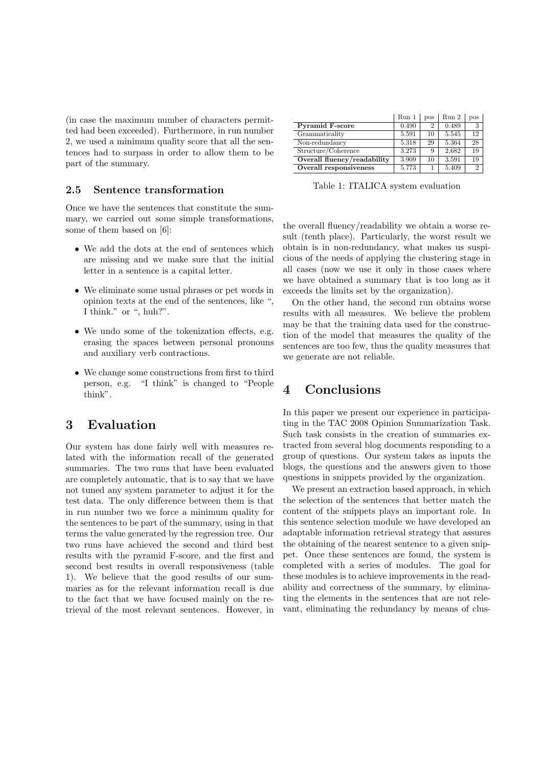(in case the maximum number of characters permitted had been exceeded). Furthermore, in run number 2, we used a minimum quality score that all the sentences had to surpass in order to allow them to be part of the summary.

### 2.5 Sentence transformation

Once we have the sentences that constitute the summary, we carried out some simple transformations, some of them based on [6]:

- We add the dots at the end of sentences which are missing and we make sure that the initial letter in a sentence is a capital letter.
- We eliminate some usual phrases or pet words in opinion texts at the end of the sentences, like ", I think." or ", huh?".
- We undo some of the tokenization effects, e.g. erasing the spaces between personal pronouns and auxiliary verb contractions.
- We change some constructions from first to third person, e.g. "I think" is changed to "People think".

## 3 Evaluation

Our system has done fairly well with measures related with the information recall of the generated summaries. The two runs that have been evaluated are completely automatic, that is to say that we have not tuned any system parameter to adjust it for the test data. The only difference between them is that in run number two we force a minimum quality for the sentences to be part of the summary, using in that terms the value generated by the regression tree. Our two runs have achieved the second and third best results with the pyramid F-score, and the first and second best results in overall responsiveness (table 1). We believe that the good results of our summaries as for the relevant information recall is due to the fact that we have focused mainly on the retrieval of the most relevant sentences. However, in

|                             | Run 1 | <b>DOS</b> | Run 2 | pos            |
|-----------------------------|-------|------------|-------|----------------|
| <b>Pyramid F-score</b>      | 0.490 | 2          | 0.489 | 3              |
| Grammaticality              | 5.591 | 10         | 5.545 | 12             |
| Non-redundancy              | 5.318 | 29         | 5.364 | 28             |
| Structure/Coherence         | 3.273 | 9          | 2.682 | 19             |
| Overall fluency/readability | 3.909 | 10         | 3.591 | 19             |
| Overall responsiveness      | 5.773 |            | 5.409 | $\overline{2}$ |

Table 1: ITALICA system evaluation

the overall fluency/readability we obtain a worse result (tenth place). Particularly, the worst result we obtain is in non-redundancy, what makes us suspicious of the needs of applying the clustering stage in all cases (now we use it only in those cases where we have obtained a summary that is too long as it exceeds the limits set by the organization).

On the other hand, the second run obtains worse results with all measures. We believe the problem may be that the training data used for the construction of the model that measures the quality of the sentences are too few, thus the quality measures that we generate are not reliable.

## 4 Conclusions

In this paper we present our experience in participating in the TAC 2008 Opinion Summarization Task. Such task consists in the creation of summaries extracted from several blog documents responding to a group of questions. Our system takes as inputs the blogs, the questions and the answers given to those questions in snippets provided by the organization.

We present an extraction based approach, in which the selection of the sentences that better match the content of the snippets plays an important role. In this sentence selection module we have developed an adaptable information retrieval strategy that assures the obtaining of the nearest sentence to a given snippet. Once these sentences are found, the system is completed with a series of modules. The goal for these modules is to achieve improvements in the readability and correctness of the summary, by eliminating the elements in the sentences that are not relevant, eliminating the redundancy by means of clus